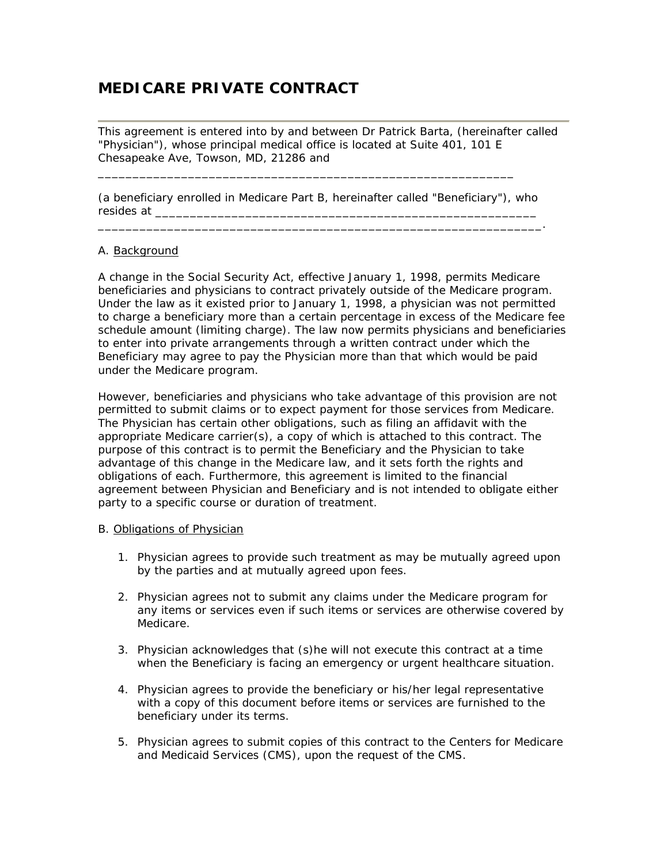# **MEDICARE PRIVATE CONTRACT**

This agreement is entered into by and between Dr Patrick Barta, (hereinafter called "Physician"), whose principal medical office is located at Suite 401, 101 E Chesapeake Ave, Towson, MD, 21286 and

(a beneficiary enrolled in Medicare Part B, hereinafter called "Beneficiary"), who resides at \_\_\_\_\_\_\_\_\_\_\_\_\_\_\_\_\_\_\_\_\_\_\_\_\_\_\_\_\_\_\_\_\_\_\_\_\_\_\_\_\_\_\_\_\_\_\_\_\_\_\_\_\_\_\_

\_\_\_\_\_\_\_\_\_\_\_\_\_\_\_\_\_\_\_\_\_\_\_\_\_\_\_\_\_\_\_\_\_\_\_\_\_\_\_\_\_\_\_\_\_\_\_\_\_\_\_\_\_\_\_\_\_\_\_\_\_\_\_\_.

 $\_$  . The contribution of the contribution of  $\overline{\phantom{a}}$  . The contribution of  $\overline{\phantom{a}}$ 

## A. Background

A change in the Social Security Act, effective January 1, 1998, permits Medicare beneficiaries and physicians to contract privately outside of the Medicare program. Under the law as it existed prior to January 1, 1998, a physician was not permitted to charge a beneficiary more than a certain percentage in excess of the Medicare fee schedule amount (limiting charge). The law now permits physicians and beneficiaries to enter into private arrangements through a written contract under which the Beneficiary may agree to pay the Physician more than that which would be paid under the Medicare program.

However, beneficiaries and physicians who take advantage of this provision are not permitted to submit claims or to expect payment for those services from Medicare. The Physician has certain other obligations, such as filing an affidavit with the appropriate Medicare carrier(s), a copy of which is attached to this contract. The purpose of this contract is to permit the Beneficiary and the Physician to take advantage of this change in the Medicare law, and it sets forth the rights and obligations of each. Furthermore, this agreement is limited to the financial agreement between Physician and Beneficiary and is not intended to obligate either party to a specific course or duration of treatment.

#### B. Obligations of Physician

- 1. Physician agrees to provide such treatment as may be mutually agreed upon by the parties and at mutually agreed upon fees.
- 2. Physician agrees not to submit any claims under the Medicare program for any items or services even if such items or services are otherwise covered by Medicare.
- 3. Physician acknowledges that (s)he will not execute this contract at a time when the Beneficiary is facing an emergency or urgent healthcare situation.
- 4. Physician agrees to provide the beneficiary or his/her legal representative with a copy of this document before items or services are furnished to the beneficiary under its terms.
- 5. Physician agrees to submit copies of this contract to the Centers for Medicare and Medicaid Services (CMS), upon the request of the CMS.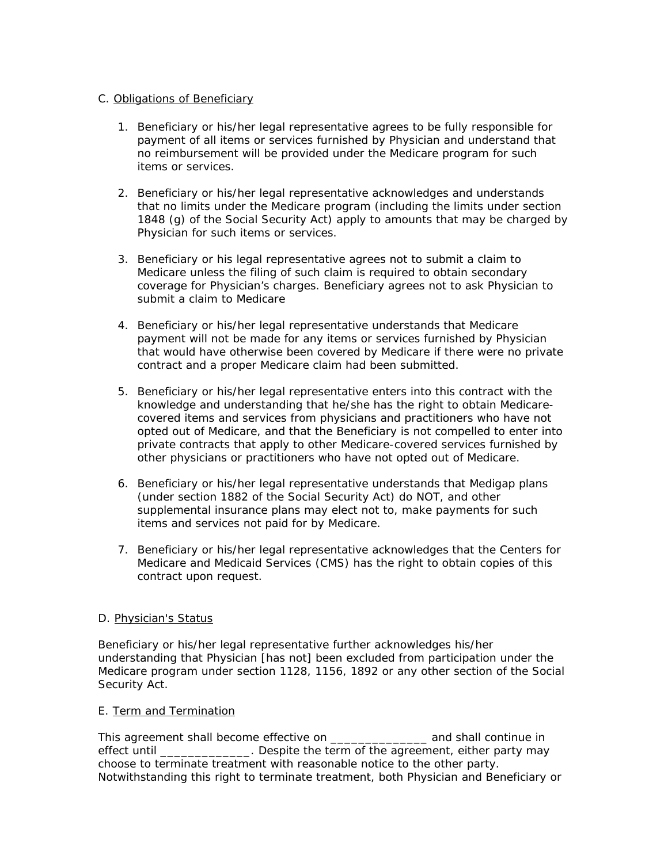## C. Obligations of Beneficiary

- 1. Beneficiary or his/her legal representative agrees to be fully responsible for payment of all items or services furnished by Physician and understand that no reimbursement will be provided under the Medicare program for such items or services.
- 2. Beneficiary or his/her legal representative acknowledges and understands that no limits under the Medicare program (including the limits under section 1848 (g) of the Social Security Act) apply to amounts that may be charged by Physician for such items or services.
- 3. Beneficiary or his legal representative agrees not to submit a claim to Medicare unless the filing of such claim is required to obtain secondary coverage for Physician's charges. Beneficiary agrees not to ask Physician to submit a claim to Medicare
- 4. Beneficiary or his/her legal representative understands that Medicare payment will not be made for any items or services furnished by Physician that would have otherwise been covered by Medicare if there were no private contract and a proper Medicare claim had been submitted.
- 5. Beneficiary or his/her legal representative enters into this contract with the knowledge and understanding that he/she has the right to obtain Medicarecovered items and services from physicians and practitioners who have not opted out of Medicare, and that the Beneficiary is not compelled to enter into private contracts that apply to other Medicare-covered services furnished by other physicians or practitioners who have not opted out of Medicare.
- 6. Beneficiary or his/her legal representative understands that Medigap plans (under section 1882 of the Social Security Act) do NOT, and other supplemental insurance plans may elect not to, make payments for such items and services not paid for by Medicare.
- 7. Beneficiary or his/her legal representative acknowledges that the Centers for Medicare and Medicaid Services (CMS) has the right to obtain copies of this contract upon request.

## D. Physician's Status

Beneficiary or his/her legal representative further acknowledges his/her understanding that Physician [has not] been excluded from participation under the Medicare program under section 1128, 1156, 1892 or any other section of the Social Security Act.

## E. Term and Termination

This agreement shall become effective on \_\_\_\_\_\_\_\_\_\_\_\_\_\_ and shall continue in effect until **Example 2** Despite the term of the agreement, either party may choose to terminate treatment with reasonable notice to the other party. Notwithstanding this right to terminate treatment, both Physician and Beneficiary or